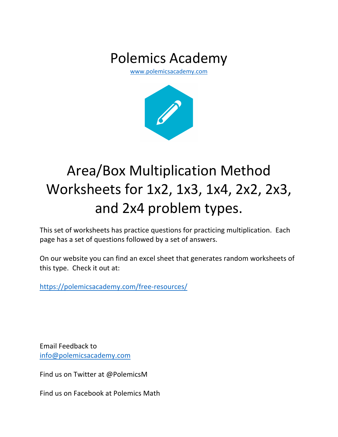## Polemics Academy

www.polemicsacademy.com



# Area/Box Multiplication Method Worksheets for 1x2, 1x3, 1x4, 2x2, 2x3, and 2x4 problem types.

This set of worksheets has practice questions for practicing multiplication. Each page has a set of questions followed by a set of answers.

On our website you can find an excel sheet that generates random worksheets of this type. Check it out at:

https://polemicsacademy.com/free-resources/

Email Feedback to info@polemicsacademy.com

Find us on Twitter at @PolemicsM

Find us on Facebook at Polemics Math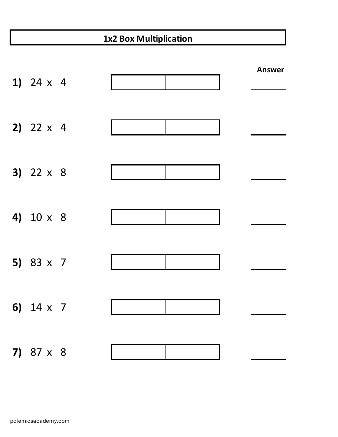### **1x2 Box Multiplication**

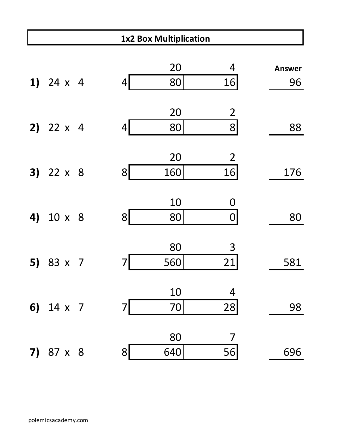|    | <b>1x2 Box Multiplication</b> |  |                |           |                      |                     |  |  |  |
|----|-------------------------------|--|----------------|-----------|----------------------|---------------------|--|--|--|
|    | 1) $24 \times 4$              |  | 4              | 20<br>80  | 4<br>16              | <b>Answer</b><br>96 |  |  |  |
|    | 2) $22 \times 4$              |  | 4              | 20<br>80  | $\overline{2}$<br> 8 | 88                  |  |  |  |
|    | $3)$ 22 $\times$ 8            |  | 8 <sup>1</sup> | 20<br>160 | $\overline{2}$<br>16 | 176                 |  |  |  |
| 4) | 10 x 8                        |  | 8 <sup>1</sup> | 10<br>80  | 0<br>0               | 80                  |  |  |  |
| 5) | 83 x 7                        |  | 7              | 80<br>560 | 3<br>21              | 581                 |  |  |  |
|    | 6) $14 \times 7$              |  | 7              | 10<br>70  | 4<br>28              | 98                  |  |  |  |
|    | 7) $87 \times 8$              |  | 8              | 80<br>640 | 7<br>56              | 696                 |  |  |  |

Г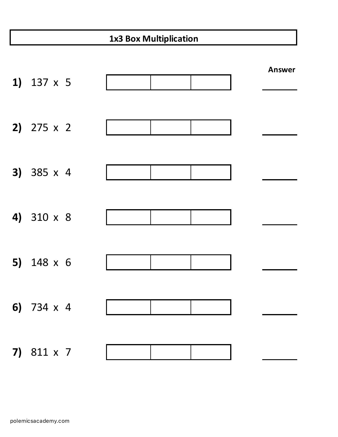### **1x3 Box Multiplication**

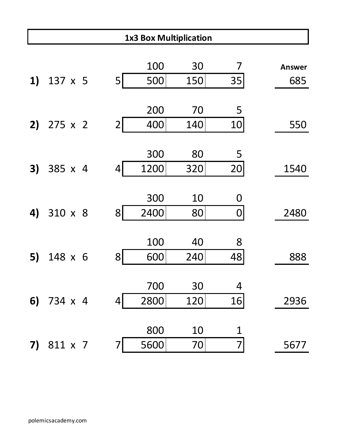|    | <b>1x3 Box Multiplication</b> |  |                |      |     |                  |               |  |  |
|----|-------------------------------|--|----------------|------|-----|------------------|---------------|--|--|
|    |                               |  |                |      |     |                  |               |  |  |
|    |                               |  |                | 100  | 30  | 7                | <b>Answer</b> |  |  |
| 1) | 137 x 5                       |  | 5 <sub>l</sub> | 500  | 150 | 35               | 685           |  |  |
|    |                               |  |                |      |     |                  |               |  |  |
|    |                               |  |                | 200  | 70  | 5                |               |  |  |
| 2) | 275 x 2                       |  | $\overline{2}$ | 400  | 140 | 10               | 550           |  |  |
|    |                               |  |                |      |     |                  |               |  |  |
|    |                               |  |                | 300  | 80  | 5                |               |  |  |
| 3) | 385 x 4                       |  | 4              | 1200 | 320 | 20               | 1540          |  |  |
|    |                               |  |                |      |     |                  |               |  |  |
|    |                               |  |                | 300  | 10  | 0                |               |  |  |
| 4) | 310 x 8                       |  | 8 <sup>1</sup> | 2400 | 80  | $\boldsymbol{0}$ | 2480          |  |  |
|    |                               |  |                |      |     |                  |               |  |  |
|    |                               |  |                | 100  | 40  | 8                |               |  |  |
| 5) | 148 x 6                       |  | 8              | 600  | 240 | 48               | 888           |  |  |
|    |                               |  |                |      |     |                  |               |  |  |
|    |                               |  |                | 700  | 30  | 4                |               |  |  |
|    | 6) $734 \times 4$             |  | 4              | 2800 | 120 | 16               | 2936          |  |  |
|    |                               |  |                |      |     |                  |               |  |  |
|    |                               |  |                | 800  | 10  |                  |               |  |  |
| 7) | 811 x 7                       |  | 7              | 5600 | 70  | 7                | 5677          |  |  |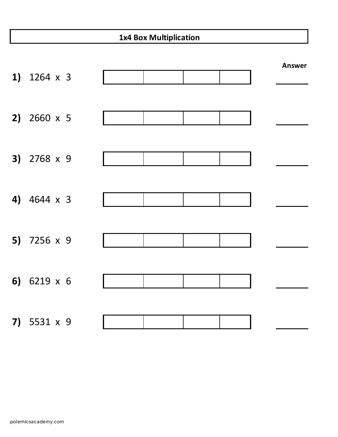#### **1x4 Box Multiplication**

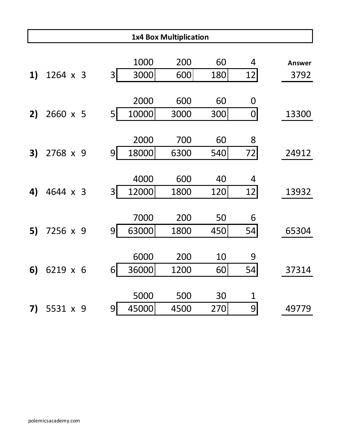|    |          |                |       | <b>1x4 Box Multiplication</b> |     |    |               |
|----|----------|----------------|-------|-------------------------------|-----|----|---------------|
|    |          |                |       |                               |     |    |               |
|    |          |                | 1000  | 200                           | 60  | 4  | <b>Answer</b> |
| 1) | 1264 x 3 | 3 <sup>1</sup> | 3000  | 600                           | 180 | 12 | 3792          |
|    |          |                |       |                               |     |    |               |
|    |          |                | 2000  | 600                           | 60  | 0  |               |
| 2) | 2660 x 5 | 5 <sub>l</sub> | 10000 | 3000                          | 300 | 0  | 13300         |
|    |          |                |       |                               |     |    |               |
|    |          |                | 2000  | 700                           | 60  | 8  |               |
| 3) | 2768 x 9 | 9              | 18000 | 6300                          | 540 | 72 | 24912         |
|    |          |                |       |                               |     |    |               |
|    |          |                | 4000  | 600                           | 40  | 4  |               |
| 4) | 4644 x 3 | 3 <sup>1</sup> | 12000 | 1800                          | 120 | 12 | 13932         |
|    |          |                |       |                               |     |    |               |
|    |          |                | 7000  | 200                           | 50  | 6  |               |
| 5) | 7256 x 9 | $\overline{9}$ | 63000 | 1800                          | 450 | 54 | 65304         |
|    |          |                |       |                               |     |    |               |
|    |          |                | 6000  | 200                           | 10  | 9  |               |
| 6) | 6219 x 6 | 6              | 36000 | 1200                          | 60  | 54 | 37314         |
|    |          |                |       |                               |     |    |               |
|    |          |                | 5000  | 500                           | 30  | 1  |               |
| 7) | 5531 x 9 | 9              | 45000 | 4500                          | 270 | 9  | 49779         |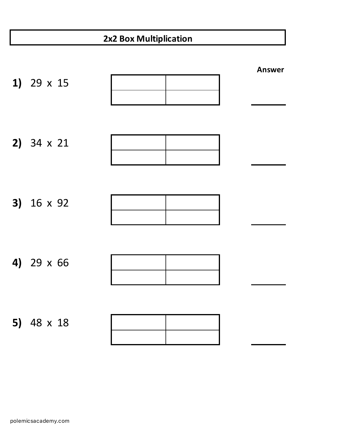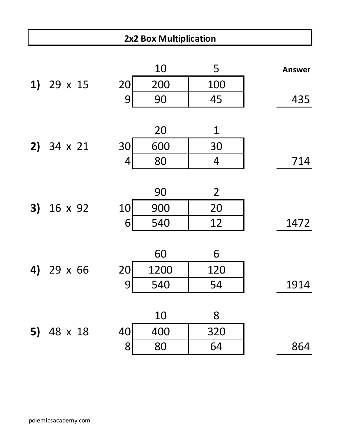|    | 2x2 Box Multiplication |    |           |                |               |  |  |  |  |
|----|------------------------|----|-----------|----------------|---------------|--|--|--|--|
|    | 1) $29 \times 15$      | 20 | 10<br>200 | 5<br>100       | <b>Answer</b> |  |  |  |  |
|    |                        | 9  | 90        | 45             | 435           |  |  |  |  |
|    |                        |    | 20        | $\mathbf 1$    |               |  |  |  |  |
|    | 2) $34 \times 21$      | 30 | 600       | 30             |               |  |  |  |  |
|    |                        | 4  | 80        | $\overline{4}$ | 714           |  |  |  |  |
|    |                        |    | 90        | $\overline{2}$ |               |  |  |  |  |
| 3) | 16 x 92                | 10 | 900       | 20             |               |  |  |  |  |
|    |                        | 6  | 540       | 12             | 1472          |  |  |  |  |
|    |                        |    | 60        | 6              |               |  |  |  |  |
| 4) | 29 x 66                | 20 | 1200      | 120            |               |  |  |  |  |
|    |                        | 9  | 540       | 54             | 1914          |  |  |  |  |
|    |                        |    |           |                |               |  |  |  |  |
|    |                        |    | 10        | 8              |               |  |  |  |  |
| 5) | 48 x 18                | 40 | 400       | 320            |               |  |  |  |  |
|    |                        | 8  | 80        | 64             | 864           |  |  |  |  |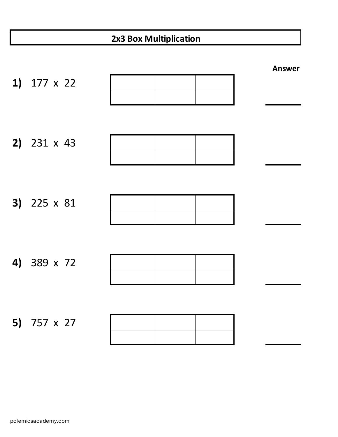| 2x3 Box Multiplication |                    |  |               |  |  |  |  |  |
|------------------------|--------------------|--|---------------|--|--|--|--|--|
|                        | 1) $177 \times 22$ |  | <b>Answer</b> |  |  |  |  |  |
|                        | 2) $231 \times 43$ |  |               |  |  |  |  |  |
|                        | 3) 225 x 81        |  |               |  |  |  |  |  |
|                        | 4) 389 x 72        |  |               |  |  |  |  |  |
|                        | 5) 757 x 27        |  |               |  |  |  |  |  |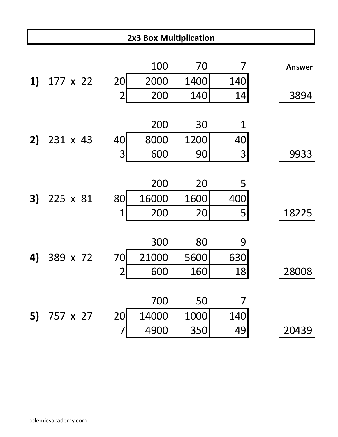|    | 2x3 Box Multiplication |                          |       |      |     |               |  |  |  |
|----|------------------------|--------------------------|-------|------|-----|---------------|--|--|--|
|    |                        |                          |       |      |     |               |  |  |  |
|    |                        |                          | 100   | 70   | 7   | <b>Answer</b> |  |  |  |
| 1) | 177 x 22               | 20                       | 2000  | 1400 | 140 |               |  |  |  |
|    |                        | $\overline{2}$           | 200   | 140  | 14  | 3894          |  |  |  |
|    |                        |                          |       |      |     |               |  |  |  |
|    |                        |                          | 200   | 30   | 1   |               |  |  |  |
| 2) | 231 x 43               | 40                       | 8000  | 1200 | 40  |               |  |  |  |
|    |                        | 3                        | 600   | 90   | 3   | 9933          |  |  |  |
|    |                        |                          |       |      |     |               |  |  |  |
|    |                        |                          | 200   | 20   | 5   |               |  |  |  |
| 3) | 225 x 81               | 80                       | 16000 | 1600 | 400 |               |  |  |  |
|    |                        | 1                        | 200   | 20   | 5   | 18225         |  |  |  |
|    |                        |                          |       |      |     |               |  |  |  |
|    |                        |                          | 300   | 80   | 9   |               |  |  |  |
| 4) | 389 x 72               | 70                       | 21000 | 5600 | 630 |               |  |  |  |
|    |                        | $\overline{\mathcal{L}}$ | 600   | 160  | 18  | 28008         |  |  |  |
|    |                        |                          |       |      |     |               |  |  |  |
|    |                        |                          | 700   | 50   | 7   |               |  |  |  |
|    | 5) 757 x 27            | 20                       | 14000 | 1000 | 140 |               |  |  |  |
|    |                        | 7                        | 4900  | 350  | 49  | 20439         |  |  |  |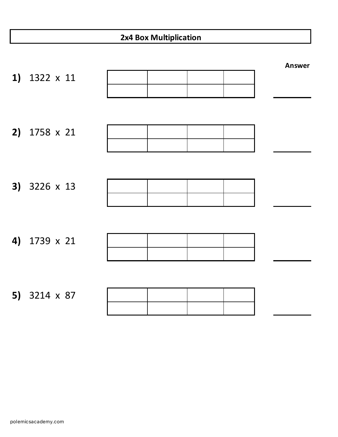|    | 2x4 Box Multiplication |  |  |  |  |               |  |  |
|----|------------------------|--|--|--|--|---------------|--|--|
| 1) | 1322 x 11              |  |  |  |  | <b>Answer</b> |  |  |
| 2) | 1758 x 21              |  |  |  |  |               |  |  |
| 3) | 3226 x 13              |  |  |  |  |               |  |  |
| 4) | 1739 x 21              |  |  |  |  |               |  |  |
|    | 5) 3214 x 87           |  |  |  |  |               |  |  |